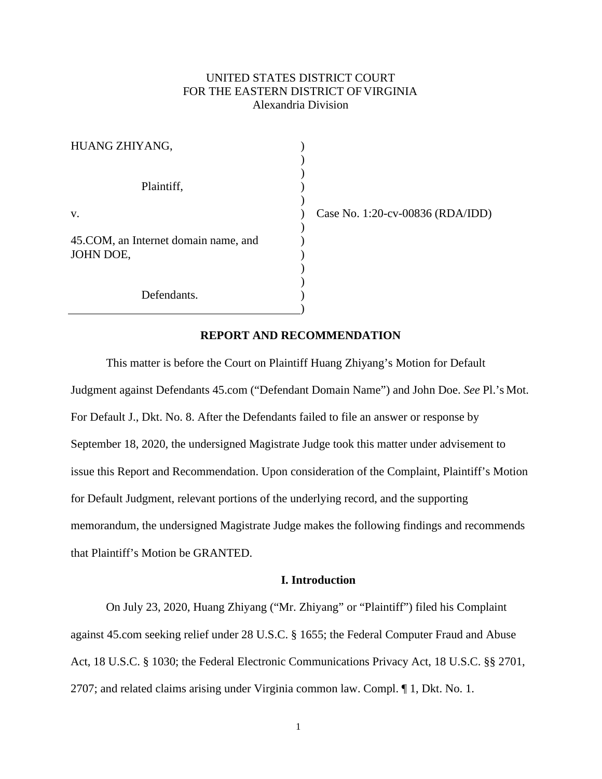# UNITED STATES DISTRICT COURT FOR THE EASTERN DISTRICT OF VIRGINIA Alexandria Division

| HUANG ZHIYANG,                                     |  |
|----------------------------------------------------|--|
| Plaintiff,                                         |  |
| v.                                                 |  |
| 45. COM, an Internet domain name, and<br>JOHN DOE, |  |
| Defendants.                                        |  |

) Case No. 1:20-cv-00836 (RDA/IDD)

# **REPORT AND RECOMMENDATION**

This matter is before the Court on Plaintiff Huang Zhiyang's Motion for Default Judgment against Defendants 45.com ("Defendant Domain Name") and John Doe. *See* Pl.'s Mot. For Default J., Dkt. No. 8. After the Defendants failed to file an answer or response by September 18, 2020, the undersigned Magistrate Judge took this matter under advisement to issue this Report and Recommendation. Upon consideration of the Complaint, Plaintiff's Motion for Default Judgment, relevant portions of the underlying record, and the supporting memorandum, the undersigned Magistrate Judge makes the following findings and recommends that Plaintiff's Motion be GRANTED.

# **I. Introduction**

On July 23, 2020, Huang Zhiyang ("Mr. Zhiyang" or "Plaintiff") filed his Complaint against 45.com seeking relief under 28 U.S.C. § 1655; the Federal Computer Fraud and Abuse Act, 18 U.S.C. § 1030; the Federal Electronic Communications Privacy Act, 18 U.S.C. §§ 2701, 2707; and related claims arising under Virginia common law. Compl. ¶ 1, Dkt. No. 1.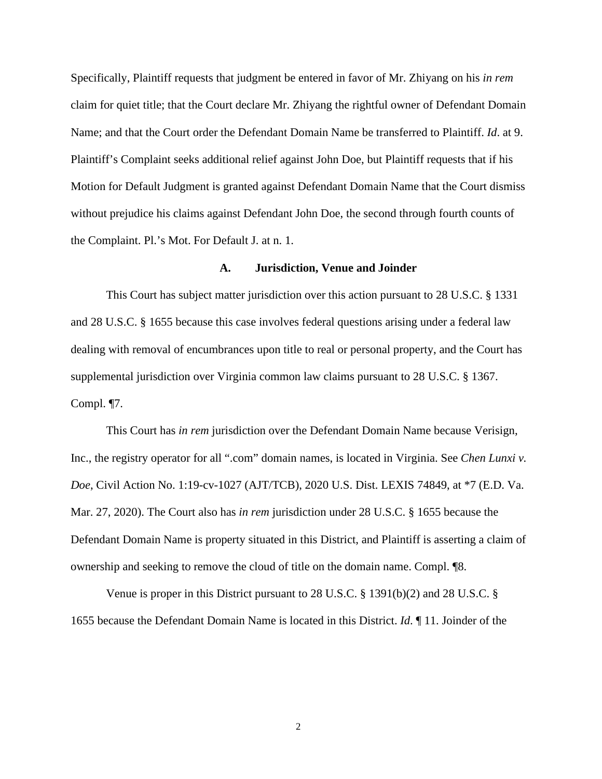Specifically, Plaintiff requests that judgment be entered in favor of Mr. Zhiyang on his *in rem*  claim for quiet title; that the Court declare Mr. Zhiyang the rightful owner of Defendant Domain Name; and that the Court order the Defendant Domain Name be transferred to Plaintiff. *Id*. at 9. Plaintiff's Complaint seeks additional relief against John Doe, but Plaintiff requests that if his Motion for Default Judgment is granted against Defendant Domain Name that the Court dismiss without prejudice his claims against Defendant John Doe, the second through fourth counts of the Complaint. Pl.'s Mot. For Default J. at n. 1.

#### **A. Jurisdiction, Venue and Joinder**

This Court has subject matter jurisdiction over this action pursuant to 28 U.S.C. § 1331 and 28 U.S.C. § 1655 because this case involves federal questions arising under a federal law dealing with removal of encumbrances upon title to real or personal property, and the Court has supplemental jurisdiction over Virginia common law claims pursuant to 28 U.S.C. § 1367. Compl. ¶7.

This Court has *in rem* jurisdiction over the Defendant Domain Name because Verisign, Inc., the registry operator for all ".com" domain names, is located in Virginia. See *Chen Lunxi v. Doe*, Civil Action No. 1:19-cv-1027 (AJT/TCB), 2020 U.S. Dist. LEXIS 74849, at \*7 (E.D. Va. Mar. 27, 2020). The Court also has *in rem* jurisdiction under 28 U.S.C. § 1655 because the Defendant Domain Name is property situated in this District, and Plaintiff is asserting a claim of ownership and seeking to remove the cloud of title on the domain name. Compl. ¶8.

Venue is proper in this District pursuant to 28 U.S.C. § 1391(b)(2) and 28 U.S.C. § 1655 because the Defendant Domain Name is located in this District. *Id*. ¶ 11. Joinder of the

2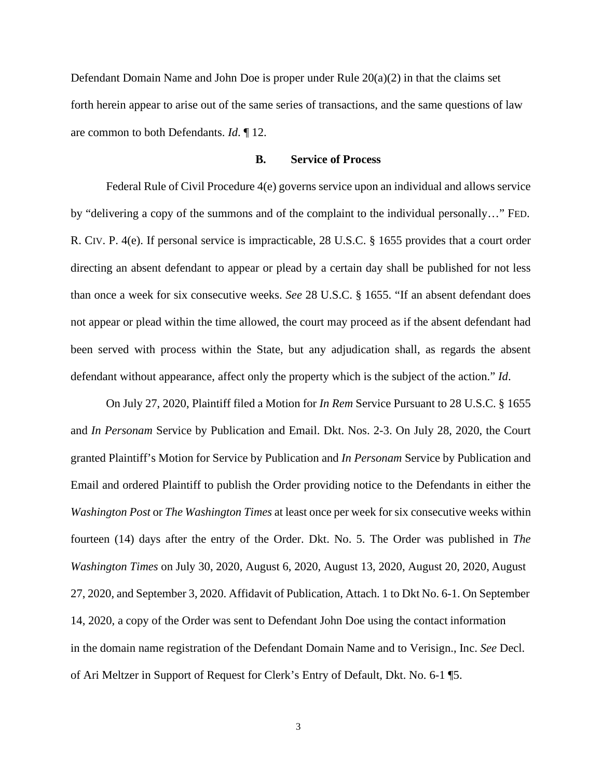Defendant Domain Name and John Doe is proper under Rule  $20(a)(2)$  in that the claims set forth herein appear to arise out of the same series of transactions, and the same questions of law are common to both Defendants. *Id*. ¶ 12.

## **B. Service of Process**

Federal Rule of Civil Procedure 4(e) governs service upon an individual and allows service by "delivering a copy of the summons and of the complaint to the individual personally…" FED. R. CIV. P. 4(e). If personal service is impracticable, 28 U.S.C. § 1655 provides that a court order directing an absent defendant to appear or plead by a certain day shall be published for not less than once a week for six consecutive weeks. *See* 28 U.S.C. § 1655. "If an absent defendant does not appear or plead within the time allowed, the court may proceed as if the absent defendant had been served with process within the State, but any adjudication shall, as regards the absent defendant without appearance, affect only the property which is the subject of the action." *Id*.

On July 27, 2020, Plaintiff filed a Motion for *In Rem* Service Pursuant to 28 U.S.C. § 1655 and *In Personam* Service by Publication and Email. Dkt. Nos. 2-3. On July 28, 2020, the Court granted Plaintiff's Motion for Service by Publication and *In Personam* Service by Publication and Email and ordered Plaintiff to publish the Order providing notice to the Defendants in either the *Washington Post* or *The Washington Times* at least once per week for six consecutive weeks within fourteen (14) days after the entry of the Order. Dkt. No. 5. The Order was published in *The Washington Times* on July 30, 2020, August 6, 2020, August 13, 2020, August 20, 2020, August 27, 2020, and September 3, 2020. Affidavit of Publication, Attach. 1 to Dkt No. 6-1. On September 14, 2020, a copy of the Order was sent to Defendant John Doe using the contact information in the domain name registration of the Defendant Domain Name and to Verisign., Inc. *See* Decl. of Ari Meltzer in Support of Request for Clerk's Entry of Default, Dkt. No. 6-1 ¶5.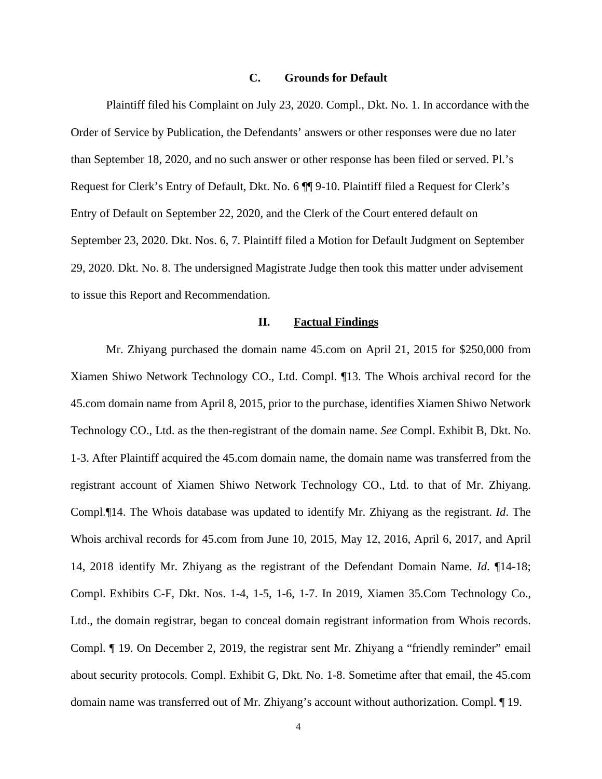# **C. Grounds for Default**

Plaintiff filed his Complaint on July 23, 2020. Compl., Dkt. No. 1. In accordance with the Order of Service by Publication, the Defendants' answers or other responses were due no later than September 18, 2020, and no such answer or other response has been filed or served. Pl.'s Request for Clerk's Entry of Default, Dkt. No. 6 ¶¶ 9-10. Plaintiff filed a Request for Clerk's Entry of Default on September 22, 2020, and the Clerk of the Court entered default on September 23, 2020. Dkt. Nos. 6, 7. Plaintiff filed a Motion for Default Judgment on September 29, 2020. Dkt. No. 8. The undersigned Magistrate Judge then took this matter under advisement to issue this Report and Recommendation.

#### **II. Factual Findings**

Mr. Zhiyang purchased the domain name 45.com on April 21, 2015 for \$250,000 from Xiamen Shiwo Network Technology CO., Ltd. Compl. ¶13. The Whois archival record for the 45.com domain name from April 8, 2015, prior to the purchase, identifies Xiamen Shiwo Network Technology CO., Ltd. as the then-registrant of the domain name. *See* Compl. Exhibit B, Dkt. No. 1-3. After Plaintiff acquired the 45.com domain name, the domain name was transferred from the registrant account of Xiamen Shiwo Network Technology CO., Ltd. to that of Mr. Zhiyang. Compl.¶14. The Whois database was updated to identify Mr. Zhiyang as the registrant. *Id*. The Whois archival records for 45.com from June 10, 2015, May 12, 2016, April 6, 2017, and April 14, 2018 identify Mr. Zhiyang as the registrant of the Defendant Domain Name. *Id*. ¶14-18; Compl. Exhibits C-F, Dkt. Nos. 1-4, 1-5, 1-6, 1-7. In 2019, Xiamen 35.Com Technology Co., Ltd., the domain registrar, began to conceal domain registrant information from Whois records. Compl. ¶ 19. On December 2, 2019, the registrar sent Mr. Zhiyang a "friendly reminder" email about security protocols. Compl. Exhibit G, Dkt. No. 1-8. Sometime after that email, the 45.com domain name was transferred out of Mr. Zhiyang's account without authorization. Compl. ¶ 19.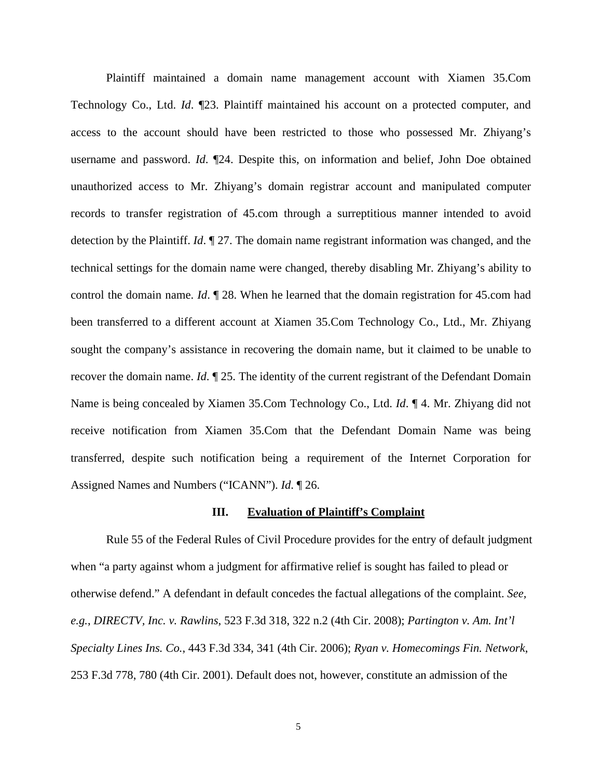Plaintiff maintained a domain name management account with Xiamen 35.Com Technology Co., Ltd. *Id*. ¶23. Plaintiff maintained his account on a protected computer, and access to the account should have been restricted to those who possessed Mr. Zhiyang's username and password. *Id*. ¶24. Despite this, on information and belief, John Doe obtained unauthorized access to Mr. Zhiyang's domain registrar account and manipulated computer records to transfer registration of 45.com through a surreptitious manner intended to avoid detection by the Plaintiff. *Id*. ¶ 27. The domain name registrant information was changed, and the technical settings for the domain name were changed, thereby disabling Mr. Zhiyang's ability to control the domain name. *Id*. ¶ 28. When he learned that the domain registration for 45.com had been transferred to a different account at Xiamen 35.Com Technology Co., Ltd., Mr. Zhiyang sought the company's assistance in recovering the domain name, but it claimed to be unable to recover the domain name. *Id*. ¶ 25. The identity of the current registrant of the Defendant Domain Name is being concealed by Xiamen 35.Com Technology Co., Ltd. *Id*. ¶ 4. Mr. Zhiyang did not receive notification from Xiamen 35.Com that the Defendant Domain Name was being transferred, despite such notification being a requirement of the Internet Corporation for Assigned Names and Numbers ("ICANN"). *Id*. ¶ 26.

### **III. Evaluation of Plaintiff's Complaint**

Rule 55 of the Federal Rules of Civil Procedure provides for the entry of default judgment when "a party against whom a judgment for affirmative relief is sought has failed to plead or otherwise defend." A defendant in default concedes the factual allegations of the complaint. *See, e.g.*, *DIRECTV, Inc. v. Rawlins*, 523 F.3d 318, 322 n.2 (4th Cir. 2008); *Partington v. Am. Int'l Specialty Lines Ins. Co.*, 443 F.3d 334, 341 (4th Cir. 2006); *Ryan v. Homecomings Fin. Network*, 253 F.3d 778, 780 (4th Cir. 2001). Default does not, however, constitute an admission of the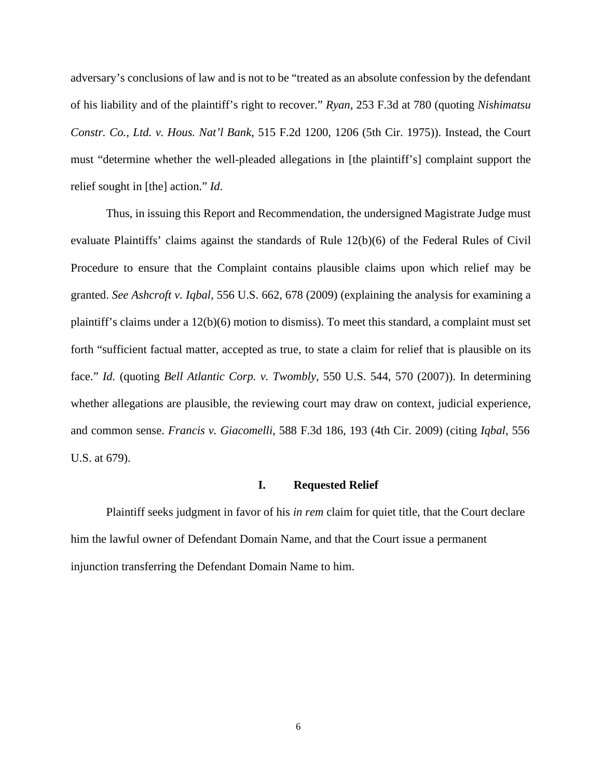adversary's conclusions of law and is not to be "treated as an absolute confession by the defendant of his liability and of the plaintiff's right to recover." *Ryan*, 253 F.3d at 780 (quoting *Nishimatsu Constr. Co., Ltd. v. Hous. Nat'l Bank*, 515 F.2d 1200, 1206 (5th Cir. 1975)). Instead, the Court must "determine whether the well-pleaded allegations in [the plaintiff's] complaint support the relief sought in [the] action." *Id*.

Thus, in issuing this Report and Recommendation, the undersigned Magistrate Judge must evaluate Plaintiffs' claims against the standards of Rule 12(b)(6) of the Federal Rules of Civil Procedure to ensure that the Complaint contains plausible claims upon which relief may be granted. *See Ashcroft v. Iqbal*, 556 U.S. 662, 678 (2009) (explaining the analysis for examining a plaintiff's claims under a 12(b)(6) motion to dismiss). To meet this standard, a complaint must set forth "sufficient factual matter, accepted as true, to state a claim for relief that is plausible on its face." *Id.* (quoting *Bell Atlantic Corp. v. Twombly*, 550 U.S. 544, 570 (2007)). In determining whether allegations are plausible, the reviewing court may draw on context, judicial experience, and common sense. *Francis v. Giacomelli*, 588 F.3d 186, 193 (4th Cir. 2009) (citing *Iqbal*, 556 U.S. at 679).

#### **I. Requested Relief**

Plaintiff seeks judgment in favor of his *in rem* claim for quiet title, that the Court declare him the lawful owner of Defendant Domain Name, and that the Court issue a permanent injunction transferring the Defendant Domain Name to him.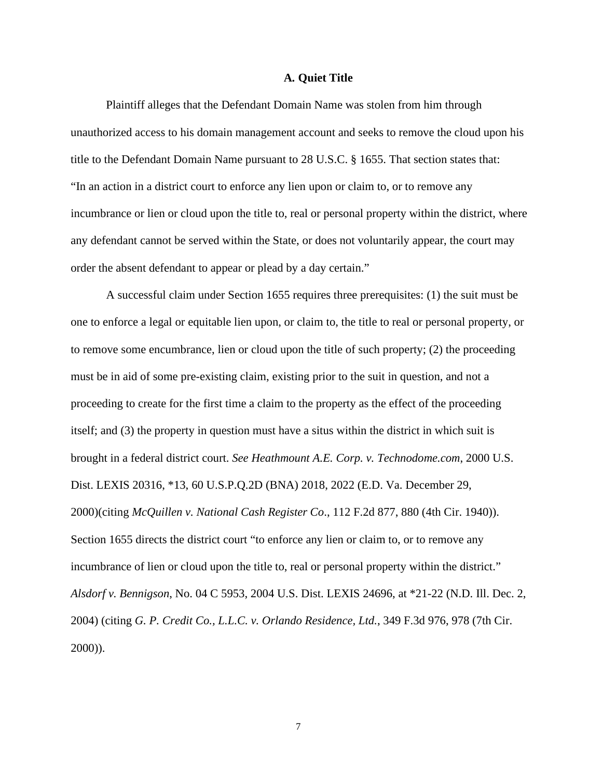## **A. Quiet Title**

Plaintiff alleges that the Defendant Domain Name was stolen from him through unauthorized access to his domain management account and seeks to remove the cloud upon his title to the Defendant Domain Name pursuant to 28 U.S.C. § 1655. That section states that: "In an action in a district court to enforce any lien upon or claim to, or to remove any incumbrance or lien or cloud upon the title to, real or personal property within the district, where any defendant cannot be served within the State, or does not voluntarily appear, the court may order the absent defendant to appear or plead by a day certain."

A successful claim under Section 1655 requires three prerequisites: (1) the suit must be one to enforce a legal or equitable lien upon, or claim to, the title to real or personal property, or to remove some encumbrance, lien or cloud upon the title of such property; (2) the proceeding must be in aid of some pre-existing claim, existing prior to the suit in question, and not a proceeding to create for the first time a claim to the property as the effect of the proceeding itself; and (3) the property in question must have a situs within the district in which suit is brought in a federal district court. *See Heathmount A.E. Corp. v. Technodome.com*, 2000 U.S. Dist. LEXIS 20316, \*13, 60 U.S.P.Q.2D (BNA) 2018, 2022 (E.D. Va. December 29, 2000)(citing *McQuillen v. National Cash Register Co*., 112 F.2d 877, 880 (4th Cir. 1940)). Section 1655 directs the district court "to enforce any lien or claim to, or to remove any incumbrance of lien or cloud upon the title to, real or personal property within the district." *Alsdorf v. Bennigson*, No. 04 C 5953, 2004 U.S. Dist. LEXIS 24696, at \*21-22 (N.D. Ill. Dec. 2, 2004) (citing *G. P. Credit Co., L.L.C. v. Orlando Residence, Ltd.*, 349 F.3d 976, 978 (7th Cir. 2000)).

7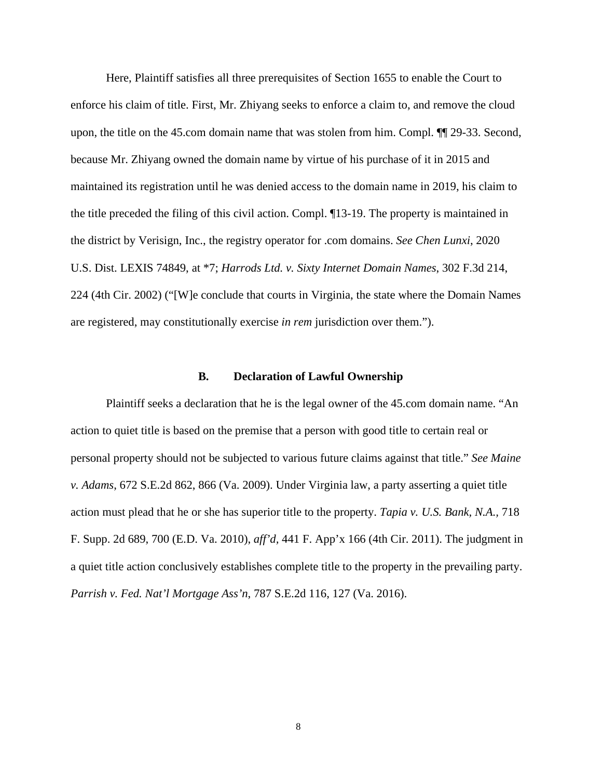Here, Plaintiff satisfies all three prerequisites of Section 1655 to enable the Court to enforce his claim of title. First, Mr. Zhiyang seeks to enforce a claim to, and remove the cloud upon, the title on the 45.com domain name that was stolen from him. Compl. ¶¶ 29-33. Second, because Mr. Zhiyang owned the domain name by virtue of his purchase of it in 2015 and maintained its registration until he was denied access to the domain name in 2019, his claim to the title preceded the filing of this civil action. Compl. ¶13-19. The property is maintained in the district by Verisign, Inc., the registry operator for .com domains. *See Chen Lunxi*, 2020 U.S. Dist. LEXIS 74849, at \*7; *Harrods Ltd. v. Sixty Internet Domain Names*, 302 F.3d 214, 224 (4th Cir. 2002) ("[W]e conclude that courts in Virginia, the state where the Domain Names are registered, may constitutionally exercise *in rem* jurisdiction over them.").

## **B. Declaration of Lawful Ownership**

Plaintiff seeks a declaration that he is the legal owner of the 45.com domain name. "An action to quiet title is based on the premise that a person with good title to certain real or personal property should not be subjected to various future claims against that title." *See Maine v. Adams*, 672 S.E.2d 862, 866 (Va. 2009). Under Virginia law, a party asserting a quiet title action must plead that he or she has superior title to the property. *Tapia v. U.S. Bank, N.A.,* 718 F. Supp. 2d 689, 700 (E.D. Va. 2010), *aff'd,* 441 F. App'x 166 (4th Cir. 2011). The judgment in a quiet title action conclusively establishes complete title to the property in the prevailing party. *Parrish v. Fed. Nat'l Mortgage Ass'n*, 787 S.E.2d 116, 127 (Va. 2016).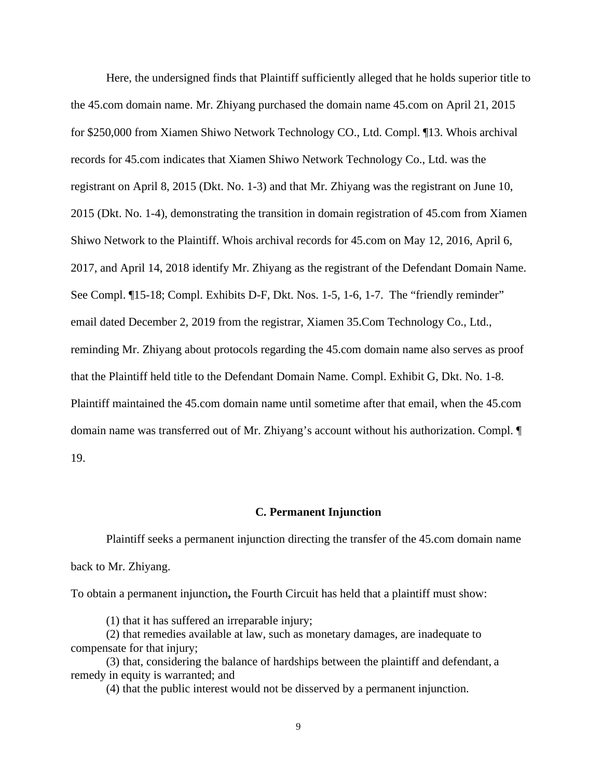Here, the undersigned finds that Plaintiff sufficiently alleged that he holds superior title to the 45.com domain name. Mr. Zhiyang purchased the domain name 45.com on April 21, 2015 for \$250,000 from Xiamen Shiwo Network Technology CO., Ltd. Compl. ¶13. Whois archival records for 45.com indicates that Xiamen Shiwo Network Technology Co., Ltd. was the registrant on April 8, 2015 (Dkt. No. 1-3) and that Mr. Zhiyang was the registrant on June 10, 2015 (Dkt. No. 1-4), demonstrating the transition in domain registration of 45.com from Xiamen Shiwo Network to the Plaintiff. Whois archival records for 45.com on May 12, 2016, April 6, 2017, and April 14, 2018 identify Mr. Zhiyang as the registrant of the Defendant Domain Name. See Compl. ¶15-18; Compl. Exhibits D-F, Dkt. Nos. 1-5, 1-6, 1-7. The "friendly reminder" email dated December 2, 2019 from the registrar, Xiamen 35.Com Technology Co., Ltd., reminding Mr. Zhiyang about protocols regarding the 45.com domain name also serves as proof that the Plaintiff held title to the Defendant Domain Name. Compl. Exhibit G, Dkt. No. 1-8. Plaintiff maintained the 45.com domain name until sometime after that email, when the 45.com domain name was transferred out of Mr. Zhiyang's account without his authorization. Compl. ¶ 19.

## **C. Permanent Injunction**

Plaintiff seeks a permanent injunction directing the transfer of the 45.com domain name back to Mr. Zhiyang.

To obtain a permanent injunction**,** the Fourth Circuit has held that a plaintiff must show:

(1) that it has suffered an irreparable injury;

(2) that remedies available at law, such as monetary damages, are inadequate to compensate for that injury;

(3) that, considering the balance of hardships between the plaintiff and defendant, a remedy in equity is warranted; and

(4) that the public interest would not be disserved by a permanent injunction.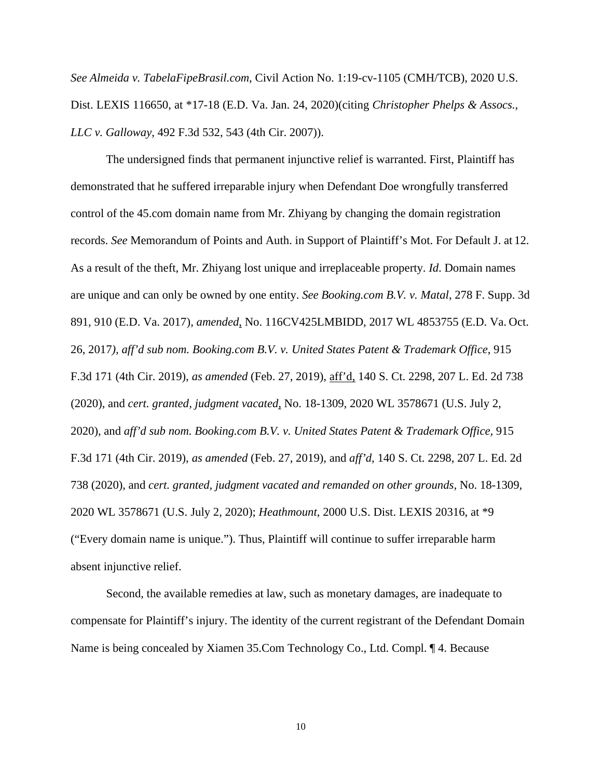*See Almeida v. TabelaFipeBrasil.com*, Civil Action No. 1:19-cv-1105 (CMH/TCB), 2020 U.S. Dist. LEXIS 116650, at \*17-18 (E.D. Va. Jan. 24, 2020)(citing *Christopher Phelps & Assocs., LLC v. Galloway*, 492 F.3d 532, 543 (4th Cir. 2007)).

The undersigned finds that permanent injunctive relief is warranted. First, Plaintiff has demonstrated that he suffered irreparable injury when Defendant Doe wrongfully transferred control of the 45.com domain name from Mr. Zhiyang by changing the domain registration records. *See* Memorandum of Points and Auth. in Support of Plaintiff's Mot. For Default J. at 12. As a result of the theft, Mr. Zhiyang lost unique and irreplaceable property. *Id*. Domain names are unique and can only be owned by one entity. *See Booking.com B.V. v. Matal*, 278 F. Supp. 3d 891, 910 (E.D. Va. 2017), *amended*, No. 116CV425LMBIDD, 2017 WL 4853755 (E.D. Va. Oct. 26, 2017*), aff'd sub nom. Booking.com B.V. v. United States Patent & Trademark Office*, 915 F.3d 171 (4th Cir. 2019), *as amended* (Feb. 27, 2019), aff'd, 140 S. Ct. 2298, 207 L. Ed. 2d 738 (2020), and *cert. granted, judgment vacated*, No. 18-1309, 2020 WL 3578671 (U.S. July 2, 2020), and *aff'd sub nom. Booking.com B.V. v. United States Patent & Trademark Office,* 915 F.3d 171 (4th Cir. 2019), *as amended* (Feb. 27, 2019), and *aff'd*, 140 S. Ct. 2298, 207 L. Ed. 2d 738 (2020), and *cert. granted, judgment vacated and remanded on other grounds,* No. 18-1309, 2020 WL 3578671 (U.S. July 2, 2020); *Heathmount*, 2000 U.S. Dist. LEXIS 20316, at \*9 ("Every domain name is unique."). Thus, Plaintiff will continue to suffer irreparable harm absent injunctive relief.

Second, the available remedies at law, such as monetary damages, are inadequate to compensate for Plaintiff's injury. The identity of the current registrant of the Defendant Domain Name is being concealed by Xiamen 35.Com Technology Co., Ltd. Compl. ¶ 4. Because

10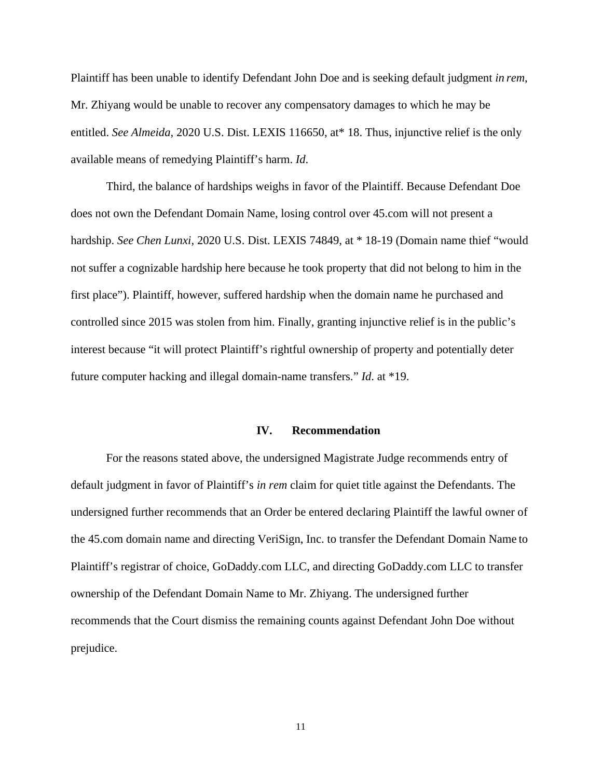Plaintiff has been unable to identify Defendant John Doe and is seeking default judgment *in rem*, Mr. Zhiyang would be unable to recover any compensatory damages to which he may be entitled. *See Almeida*, 2020 U.S. Dist. LEXIS 116650, at\* 18. Thus, injunctive relief is the only available means of remedying Plaintiff's harm. *Id*.

Third, the balance of hardships weighs in favor of the Plaintiff. Because Defendant Doe does not own the Defendant Domain Name, losing control over 45.com will not present a hardship. *See Chen Lunxi*, 2020 U.S. Dist. LEXIS 74849, at \* 18-19 (Domain name thief "would not suffer a cognizable hardship here because he took property that did not belong to him in the first place"). Plaintiff, however, suffered hardship when the domain name he purchased and controlled since 2015 was stolen from him. Finally, granting injunctive relief is in the public's interest because "it will protect Plaintiff's rightful ownership of property and potentially deter future computer hacking and illegal domain-name transfers." *Id*. at \*19.

#### **IV. Recommendation**

For the reasons stated above, the undersigned Magistrate Judge recommends entry of default judgment in favor of Plaintiff's *in rem* claim for quiet title against the Defendants. The undersigned further recommends that an Order be entered declaring Plaintiff the lawful owner of the 45.com domain name and directing VeriSign, Inc. to transfer the Defendant Domain Name to Plaintiff's registrar of choice, GoDaddy.com LLC, and directing GoDaddy.com LLC to transfer ownership of the Defendant Domain Name to Mr. Zhiyang. The undersigned further recommends that the Court dismiss the remaining counts against Defendant John Doe without prejudice.